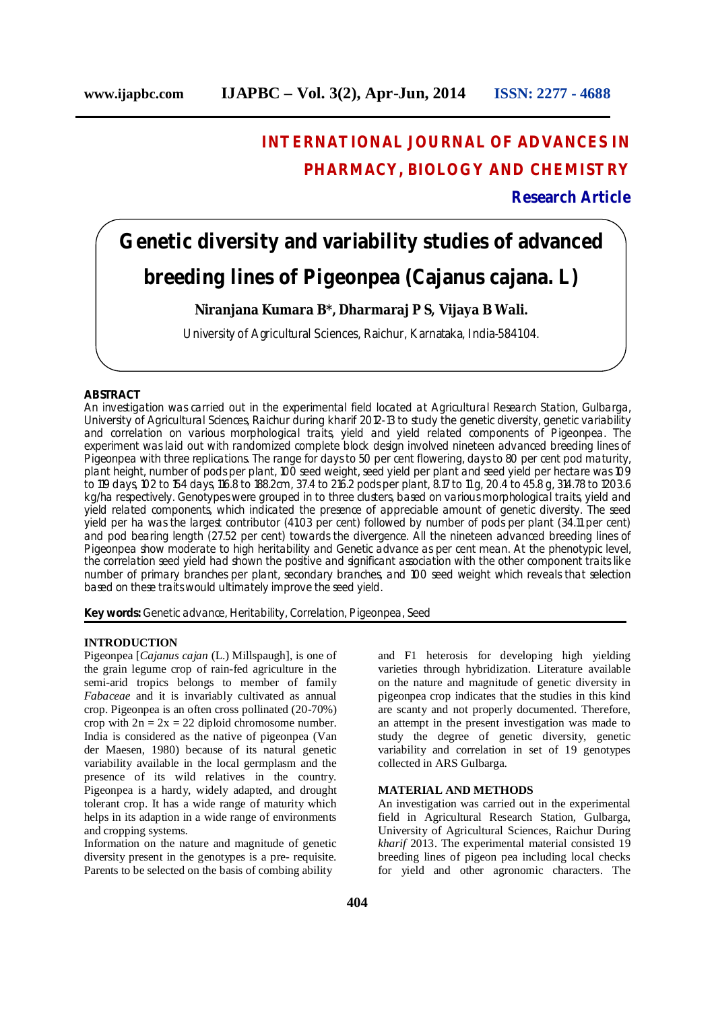# **INTERNATIONAL JOURNAL OF ADVANCES IN PHARMACY, BIOLOGY AND CHEMISTRY**

**Research Article**

# **Genetic diversity and variability studies of advanced breeding lines of Pigeonpea (***Cajanus cajana***. L)**

**Niranjana Kumara B\*, Dharmaraj P S, Vijaya B Wali.**

University of Agricultural Sciences, Raichur, Karnataka, India-584104.

## **ABSTRACT**

An investigation was carried out in the experimental field located at Agricultural Research Station, Gulbarga, University of Agricultural Sciences, Raichur during *kharif* 2012-13 to study the genetic diversity, genetic variability and correlation on various morphological traits, yield and yield related components of Pigeonpea. The experiment was laid out with randomized complete block design involved nineteen advanced breeding lines of Pigeonpea with three replications. The range for days to 50 per cent flowering, days to 80 per cent pod maturity, plant height, number of pods per plant, 100 seed weight, seed yield per plant and seed yield per hectare was 109 to 119 days, 102 to 154 days, 116.8 to 188.2cm, 37.4 to 216.2 pods per plant, 8.17 to 11 g, 20.4 to 45.8 g, 314.78 to 1203.6 kg/ha respectively. Genotypes were grouped in to three clusters, based on various morphological traits, yield and yield related components, which indicated the presence of appreciable amount of genetic diversity. The seed yield per ha was the largest contributor (41.03 per cent) followed by number of pods per plant (34.11 per cent) and pod bearing length (27.52 per cent) towards the divergence. All the nineteen advanced breeding lines of Pigeonpea show moderate to high heritability and Genetic advance as per cent mean. At the phenotypic level, the correlation seed yield had shown the positive and significant association with the other component traits like number of primary branches per plant, secondary branches, and 100 seed weight which reveals that selection based on these traits would ultimately improve the seed yield.

**Key words:** Genetic advance, Heritability, Correlation, Pigeonpea, Seed

#### **INTRODUCTION**

Pigeonpea [*Cajanus cajan* (L.) Millspaugh], is one of the grain legume crop of rain-fed agriculture in the semi-arid tropics belongs to member of family *Fabaceae* and it is invariably cultivated as annual crop. Pigeonpea is an often cross pollinated (20-70%) crop with  $2n = 2x = 22$  diploid chromosome number. India is considered as the native of pigeonpea (Van der Maesen, 1980) because of its natural genetic variability available in the local germplasm and the presence of its wild relatives in the country. Pigeonpea is a hardy, widely adapted, and drought tolerant crop. It has a wide range of maturity which helps in its adaption in a wide range of environments and cropping systems.

Information on the nature and magnitude of genetic diversity present in the genotypes is a pre- requisite. Parents to be selected on the basis of combing ability

and F1 heterosis for developing high yielding varieties through hybridization. Literature available on the nature and magnitude of genetic diversity in pigeonpea crop indicates that the studies in this kind are scanty and not properly documented. Therefore, an attempt in the present investigation was made to study the degree of genetic diversity, genetic variability and correlation in set of 19 genotypes collected in ARS Gulbarga.

#### **MATERIAL AND METHODS**

An investigation was carried out in the experimental field in Agricultural Research Station, Gulbarga, University of Agricultural Sciences, Raichur During *kharif* 2013. The experimental material consisted 19 breeding lines of pigeon pea including local checks for yield and other agronomic characters. The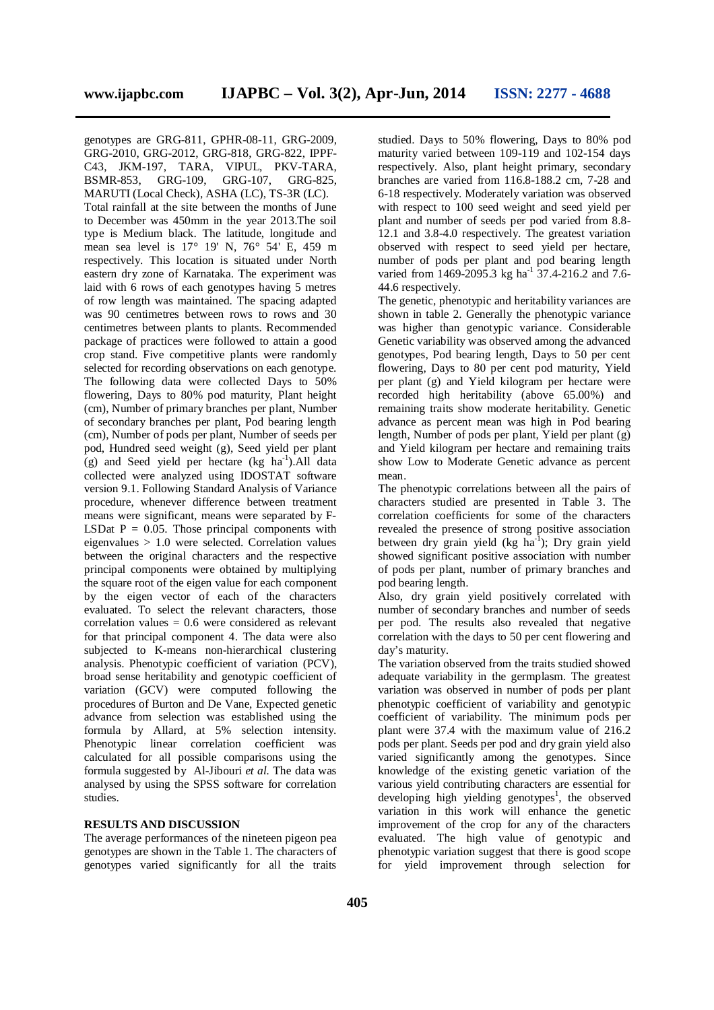genotypes are GRG-811, GPHR-08-11, GRG-2009, GRG-2010, GRG-2012, GRG-818, GRG-822, IPPF-C43, JKM-197, TARA, VIPUL, PKV-TARA, BSMR-853, GRG-109, GRG-107, GRG-825, MARUTI (Local Check), ASHA (LC), TS-3R (LC). Total rainfall at the site between the months of June to December was 450mm in the year 2013.The soil type is Medium black. The latitude, longitude and mean sea level is 17° 19' N, 76° 54' E, 459 m respectively. This location is situated under North eastern dry zone of Karnataka. The experiment was laid with 6 rows of each genotypes having 5 metres of row length was maintained. The spacing adapted was 90 centimetres between rows to rows and 30 centimetres between plants to plants. Recommended package of practices were followed to attain a good crop stand. Five competitive plants were randomly selected for recording observations on each genotype. The following data were collected Days to 50% flowering, Days to 80% pod maturity, Plant height (cm), Number of primary branches per plant, Number of secondary branches per plant, Pod bearing length (cm), Number of pods per plant, Number of seeds per pod, Hundred seed weight (g), Seed yield per plant  $(g)$  and Seed yield per hectare  $(kg \text{ ha}^{-1})$ . All data collected were analyzed using IDOSTAT software version 9.1. Following Standard Analysis of Variance procedure, whenever difference between treatment means were significant, means were separated by F-LSDat  $P = 0.05$ . Those principal components with eigenvalues > 1.0 were selected. Correlation values between the original characters and the respective principal components were obtained by multiplying the square root of the eigen value for each component by the eigen vector of each of the characters evaluated. To select the relevant characters, those correlation values  $= 0.6$  were considered as relevant for that principal component 4. The data were also subjected to K-means non-hierarchical clustering analysis. Phenotypic coefficient of variation (PCV), broad sense heritability and genotypic coefficient of variation (GCV) were computed following the procedures of Burton and De Vane, Expected genetic advance from selection was established using the formula by Allard, at 5% selection intensity. Phenotypic linear correlation coefficient was calculated for all possible comparisons using the formula suggested by Al-Jibouri *et al.* The data was analysed by using the SPSS software for correlation studies.

# **RESULTS AND DISCUSSION**

The average performances of the nineteen pigeon pea genotypes are shown in the Table 1. The characters of genotypes varied significantly for all the traits

studied. Days to 50% flowering, Days to 80% pod maturity varied between 109-119 and 102-154 days respectively. Also, plant height primary, secondary branches are varied from 116.8-188.2 cm, 7-28 and 6-18 respectively. Moderately variation was observed with respect to 100 seed weight and seed yield per plant and number of seeds per pod varied from 8.8- 12.1 and 3.8-4.0 respectively. The greatest variation observed with respect to seed yield per hectare, number of pods per plant and pod bearing length varied from 1469-2095.3 kg ha<sup>-1</sup> 37.4-216.2 and 7.6-44.6 respectively.

The genetic, phenotypic and heritability variances are shown in table 2. Generally the phenotypic variance was higher than genotypic variance. Considerable Genetic variability was observed among the advanced genotypes, Pod bearing length, Days to 50 per cent flowering, Days to 80 per cent pod maturity, Yield per plant (g) and Yield kilogram per hectare were recorded high heritability (above 65.00%) and remaining traits show moderate heritability. Genetic advance as percent mean was high in Pod bearing length, Number of pods per plant, Yield per plant (g) and Yield kilogram per hectare and remaining traits show Low to Moderate Genetic advance as percent mean.

The phenotypic correlations between all the pairs of characters studied are presented in Table 3. The correlation coefficients for some of the characters revealed the presence of strong positive association between dry grain yield (kg  $ha^{-1}$ ); Dry grain yield showed significant positive association with number of pods per plant, number of primary branches and pod bearing length.

Also, dry grain yield positively correlated with number of secondary branches and number of seeds per pod. The results also revealed that negative correlation with the days to 50 per cent flowering and day's maturity.

The variation observed from the traits studied showed adequate variability in the germplasm. The greatest variation was observed in number of pods per plant phenotypic coefficient of variability and genotypic coefficient of variability. The minimum pods per plant were 37.4 with the maximum value of 216.2 pods per plant. Seeds per pod and dry grain yield also varied significantly among the genotypes. Since knowledge of the existing genetic variation of the various yield contributing characters are essential for developing high yielding genotypes<sup>1</sup>, the observed variation in this work will enhance the genetic improvement of the crop for any of the characters evaluated. The high value of genotypic and phenotypic variation suggest that there is good scope for yield improvement through selection for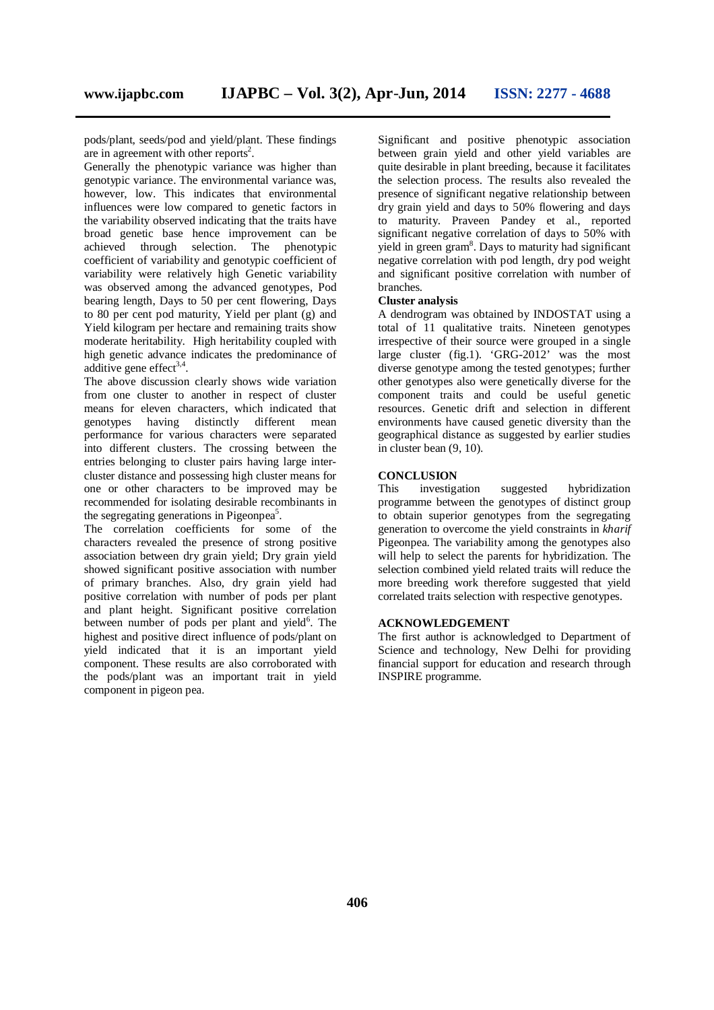pods/plant, seeds/pod and yield/plant. These findings are in agreement with other reports<sup>2</sup>.

Generally the phenotypic variance was higher than genotypic variance. The environmental variance was, however, low. This indicates that environmental influences were low compared to genetic factors in the variability observed indicating that the traits have broad genetic base hence improvement can be achieved through selection. The phenotypic coefficient of variability and genotypic coefficient of variability were relatively high Genetic variability was observed among the advanced genotypes, Pod bearing length, Days to 50 per cent flowering, Days to 80 per cent pod maturity, Yield per plant (g) and Yield kilogram per hectare and remaining traits show moderate heritability. High heritability coupled with high genetic advance indicates the predominance of additive gene effect $3,4$ .

The above discussion clearly shows wide variation from one cluster to another in respect of cluster means for eleven characters, which indicated that genotypes having distinctly different mean performance for various characters were separated into different clusters. The crossing between the entries belonging to cluster pairs having large intercluster distance and possessing high cluster means for one or other characters to be improved may be recommended for isolating desirable recombinants in the segregating generations in Pigeonpea<sup>5</sup>.

The correlation coefficients for some of the characters revealed the presence of strong positive association between dry grain yield; Dry grain yield showed significant positive association with number of primary branches. Also, dry grain yield had positive correlation with number of pods per plant and plant height. Significant positive correlation between number of pods per plant and yield<sup>6</sup>. The highest and positive direct influence of pods/plant on yield indicated that it is an important yield component. These results are also corroborated with the pods/plant was an important trait in yield component in pigeon pea.

Significant and positive phenotypic association between grain yield and other yield variables are quite desirable in plant breeding, because it facilitates the selection process. The results also revealed the presence of significant negative relationship between dry grain yield and days to 50% flowering and days to maturity. Praveen Pandey et al., reported significant negative correlation of days to 50% with yield in green gram<sup>8</sup>. Days to maturity had significant negative correlation with pod length, dry pod weight and significant positive correlation with number of branches.

### **Cluster analysis**

A dendrogram was obtained by INDOSTAT using a total of 11 qualitative traits. Nineteen genotypes irrespective of their source were grouped in a single large cluster (fig.1). 'GRG-2012' was the most diverse genotype among the tested genotypes; further other genotypes also were genetically diverse for the component traits and could be useful genetic resources. Genetic drift and selection in different environments have caused genetic diversity than the geographical distance as suggested by earlier studies in cluster bean (9, 10).

#### **CONCLUSION**

This investigation suggested hybridization programme between the genotypes of distinct group to obtain superior genotypes from the segregating generation to overcome the yield constraints in *kharif*  Pigeonpea. The variability among the genotypes also will help to select the parents for hybridization. The selection combined yield related traits will reduce the more breeding work therefore suggested that yield correlated traits selection with respective genotypes.

#### **ACKNOWLEDGEMENT**

The first author is acknowledged to Department of Science and technology, New Delhi for providing financial support for education and research through INSPIRE programme.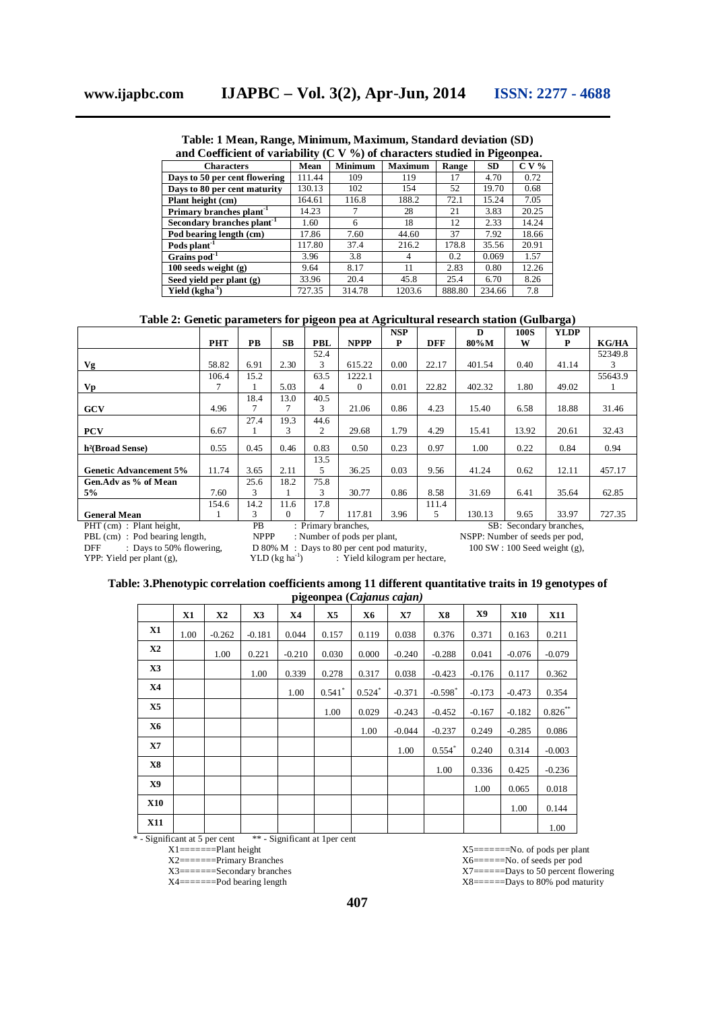**Table: 1 Mean, Range, Minimum, Maximum, Standard deviation (SD)**

| and Coefficient of variability (C V $\%$ ) of characters studied in Pigeonpea. |        |                                  |        |        |           |         |  |  |  |
|--------------------------------------------------------------------------------|--------|----------------------------------|--------|--------|-----------|---------|--|--|--|
| <b>Characters</b>                                                              | Mean   | <b>Minimum</b><br><b>Maximum</b> |        | Range  | <b>SD</b> | $C V$ % |  |  |  |
| Days to 50 per cent flowering                                                  | 111.44 | 109                              | 119    | 17     | 4.70      | 0.72    |  |  |  |
| Days to 80 per cent maturity                                                   | 130.13 | 102                              | 154    | 52     | 19.70     | 0.68    |  |  |  |
| Plant height (cm)                                                              | 164.61 | 116.8                            | 188.2  | 72.1   | 15.24     | 7.05    |  |  |  |
| Primary branches plant <sup>-1</sup>                                           | 14.23  | 7                                | 28     | 21     | 3.83      | 20.25   |  |  |  |
| Secondary branches plant <sup>1</sup>                                          | 1.60   | 6                                | 18     | 12     | 2.33      | 14.24   |  |  |  |
| Pod bearing length (cm)                                                        | 17.86  | 7.60                             | 44.60  | 37     | 7.92      | 18.66   |  |  |  |
| Pods plant <sup>-1</sup>                                                       | 117.80 | 37.4                             | 216.2  | 178.8  | 35.56     | 20.91   |  |  |  |
| Grains $pod^{-1}$                                                              | 3.96   | 3.8                              | 4      | 0.2    | 0.069     | 1.57    |  |  |  |
| $100$ seeds weight $(g)$                                                       | 9.64   | 8.17                             | 11     | 2.83   | 0.80      | 12.26   |  |  |  |
| Seed yield per plant (g)                                                       | 33.96  | 20.4                             | 45.8   | 25.4   | 6.70      | 8.26    |  |  |  |
| Yield $(kgha^{-1})$                                                            | 727.35 | 314.78                           | 1203.6 | 888.80 | 234.66    | 7.8     |  |  |  |

# **Table 2: Genetic parameters for pigeon pea at Agricultural research station (Gulbarga)**

|                               |            |           |           |                     |             | <b>NSP</b> |       | D      | 100S                    | <b>YLDP</b> |              |
|-------------------------------|------------|-----------|-----------|---------------------|-------------|------------|-------|--------|-------------------------|-------------|--------------|
|                               | <b>PHT</b> | <b>PB</b> | <b>SB</b> | PBL                 | <b>NPPP</b> | P          | DFF   | 80%M   | W                       | P           | <b>KG/HA</b> |
|                               |            |           |           | 52.4                |             |            |       |        |                         |             | 52349.8      |
| Vg                            | 58.82      | 6.91      | 2.30      | 3                   | 615.22      | 0.00       | 22.17 | 401.54 | 0.40                    | 41.14       | 3            |
|                               | 106.4      | 15.2      |           | 63.5                | 1222.1      |            |       |        |                         |             | 55643.9      |
| Vp                            |            |           | 5.03      | 4                   | $\Omega$    | 0.01       | 22.82 | 402.32 | 1.80                    | 49.02       |              |
|                               |            | 18.4      | 13.0      | 40.5                |             |            |       |        |                         |             |              |
| <b>GCV</b>                    | 4.96       |           | 7         | 3                   | 21.06       | 0.86       | 4.23  | 15.40  | 6.58                    | 18.88       | 31.46        |
|                               |            | 27.4      | 19.3      | 44.6                |             |            |       |        |                         |             |              |
| <b>PCV</b>                    | 6.67       |           | 3         | 2                   | 29.68       | 1.79       | 4.29  | 15.41  | 13.92                   | 20.61       | 32.43        |
| h <sup>2</sup> (Broad Sense)  | 0.55       | 0.45      | 0.46      | 0.83                | 0.50        | 0.23       | 0.97  | 1.00   | 0.22                    | 0.84        | 0.94         |
|                               |            |           |           | 13.5                |             |            |       |        |                         |             |              |
| <b>Genetic Advancement 5%</b> | 11.74      | 3.65      | 2.11      | 5                   | 36.25       | 0.03       | 9.56  | 41.24  | 0.62                    | 12.11       | 457.17       |
| Gen.Adv as % of Mean          |            | 25.6      | 18.2      | 75.8                |             |            |       |        |                         |             |              |
| 5%                            | 7.60       | 3         |           | 3                   | 30.77       | 0.86       | 8.58  | 31.69  | 6.41                    | 35.64       | 62.85        |
|                               | 154.6      | 14.2      | 11.6      | 17.8                |             |            | 111.4 |        |                         |             |              |
| <b>General Mean</b>           |            | 3         | $\Omega$  | 7                   | 117.81      | 3.96       | 5     | 130.13 | 9.65                    | 33.97       | 727.35       |
| $PHT$ (cm) : Plant height.    |            | <b>PB</b> |           | : Primary branches. |             |            |       |        | SB: Secondary branches. |             |              |

PHT (cm) : Plant height,

PHT (em) : Primary branches, PHT (cm) in SB: Secondary branches, SB: Secondary branches, SB: Secondary branches, SB: Secondary branches, SB: Secondary branches, SB: Secondary branches, SB: Secondary branches, SB: Secondary PBL (cm) : Pod bearing length,<br>
PBL (cm) : Pod bearing length,<br>
NPPP : Number of pods per plant,<br>
NSPP: Number of seeds per pod,<br>
DFF : Days to 50% flowering,<br>
D 80% M : Days to 80 per cent pod maturity,<br>
100 SW : 100 Seed

YPP: Yield per plant  $(g)$ ,

 $D 80% M : Days to 80 per cent pod maturity, YLD (kg ha<sup>-1</sup>)$ <br> $\cdot$  Yield kilogram per hec ) : Yield kilogram per hectare,

| Table: 3.Phenotypic correlation coefficients among 11 different quantitative traits in 19 genotypes of |  |
|--------------------------------------------------------------------------------------------------------|--|
| $r^2$                                                                                                  |  |

|                | pigeonpea (Cajanus cajan) |          |          |           |                |                      |           |                       |          |            |            |
|----------------|---------------------------|----------|----------|-----------|----------------|----------------------|-----------|-----------------------|----------|------------|------------|
|                | X1                        | X2       | X3       | <b>X4</b> | X <sub>5</sub> | X6                   | <b>X7</b> | <b>X8</b>             | X9       | <b>X10</b> | <b>X11</b> |
| <b>X1</b>      | 1.00                      | $-0.262$ | $-0.181$ | 0.044     | 0.157          | 0.119                | 0.038     | 0.376                 | 0.371    | 0.163      | 0.211      |
| <b>X2</b>      |                           | 1.00     | 0.221    | $-0.210$  | 0.030          | 0.000                | $-0.240$  | $-0.288$              | 0.041    | $-0.076$   | $-0.079$   |
| X3             |                           |          | 1.00     | 0.339     | 0.278          | 0.317                | 0.038     | $-0.423$              | $-0.176$ | 0.117      | 0.362      |
| <b>X4</b>      |                           |          |          | 1.00      | $0.541$ *      | $0.524$ <sup>*</sup> | $-0.371$  | $-0.598$ <sup>*</sup> | $-0.173$ | $-0.473$   | 0.354      |
| X <sub>5</sub> |                           |          |          |           | 1.00           | 0.029                | $-0.243$  | $-0.452$              | $-0.167$ | $-0.182$   | $0.826***$ |
| <b>X6</b>      |                           |          |          |           |                | 1.00                 | $-0.044$  | $-0.237$              | 0.249    | $-0.285$   | 0.086      |
| <b>X7</b>      |                           |          |          |           |                |                      | 1.00      | $0.554*$              | 0.240    | 0.314      | $-0.003$   |
| <b>X8</b>      |                           |          |          |           |                |                      |           | 1.00                  | 0.336    | 0.425      | $-0.236$   |
| X9             |                           |          |          |           |                |                      |           |                       | 1.00     | 0.065      | 0.018      |
| <b>X10</b>     |                           |          |          |           |                |                      |           |                       |          | 1.00       | 0.144      |
| <b>X11</b>     |                           |          |          |           |                |                      |           |                       |          |            | 1.00       |

\* - Significant at 5 per cent \*\* - Significant at 1per cent

 $X1$ =======Plant height

X2=======Primary Branches

X3=======Secondary branches

X4=======Pod bearing length

X5=======No. of pods per plant X6======No. of seeds per pod

X7======Days to 50 percent flowering

 $X8$ =====Days to 80% pod maturity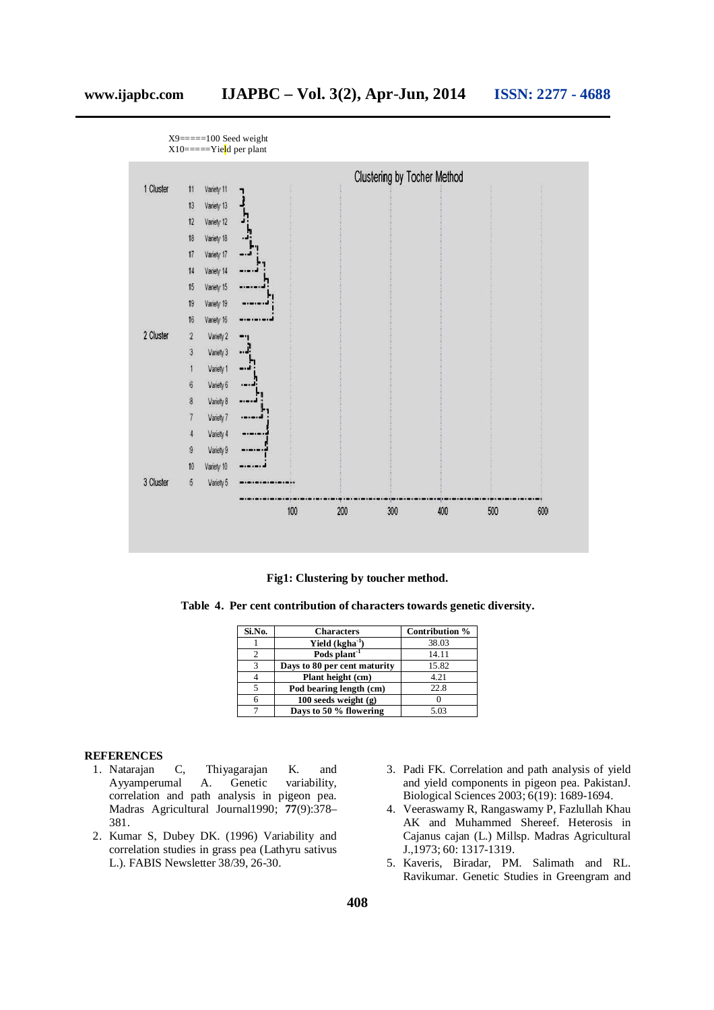

**Fig1: Clustering by toucher method.**

**Table 4. Per cent contribution of characters towards genetic diversity.**

| Si.No. | <b>Characters</b>            | Contribution % |
|--------|------------------------------|----------------|
|        | Yield (kgha <sup>-1</sup>    | 38.03          |
| 2      | Pods plant <sup>-1</sup>     | 14.11          |
| 3      | Days to 80 per cent maturity | 15.82          |
|        | Plant height (cm)            | 4.21           |
|        | Pod bearing length (cm)      | 22.8           |
|        | $100$ seeds weight $(g)$     |                |
|        | Days to 50 % flowering       | 5.03           |

### **REFERENCES**

- 1. Natarajan C, Thiyagarajan K. and Ayyamperumal A. Genetic variability, correlation and path analysis in pigeon pea. Madras Agricultural Journal1990; **77**(9):378– 381.
- 2. Kumar S, Dubey DK. (1996) Variability and correlation studies in grass pea (Lathyru sativus L.). FABIS Newsletter 38/39, 26-30.
- 3. Padi FK. Correlation and path analysis of yield and yield components in pigeon pea. PakistanJ. Biological Sciences 2003; 6(19): 1689-1694.
- 4. Veeraswamy R, Rangaswamy P, Fazlullah Khau AK and Muhammed Shereef. Heterosis in Cajanus cajan (L.) Millsp. Madras Agricultural J.,1973; 60: 1317-1319.
- 5. Kaveris, Biradar, PM. Salimath and RL. Ravikumar. Genetic Studies in Greengram and